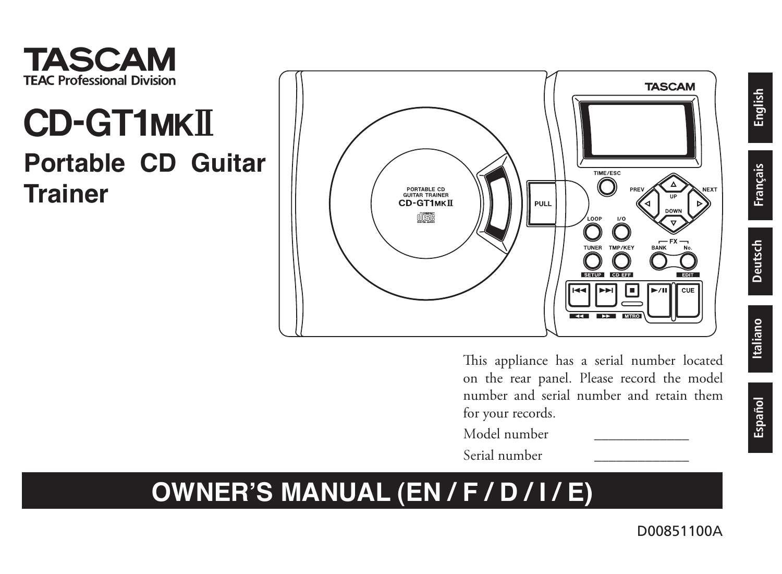

## **CD-GT1MKII Portable CD Guitar Trainer**



This appliance has a serial number located on the rear panel. Please record the model number and serial number and retain them for your records.

- Model number \_\_\_\_\_\_\_\_\_\_\_\_\_
- Serial number \_\_\_\_\_\_\_\_\_\_\_\_\_

### **OWNER'S MANUAL (EN / F / D / I / E)**

**English**

**Français**

**Deutsch**

Italiano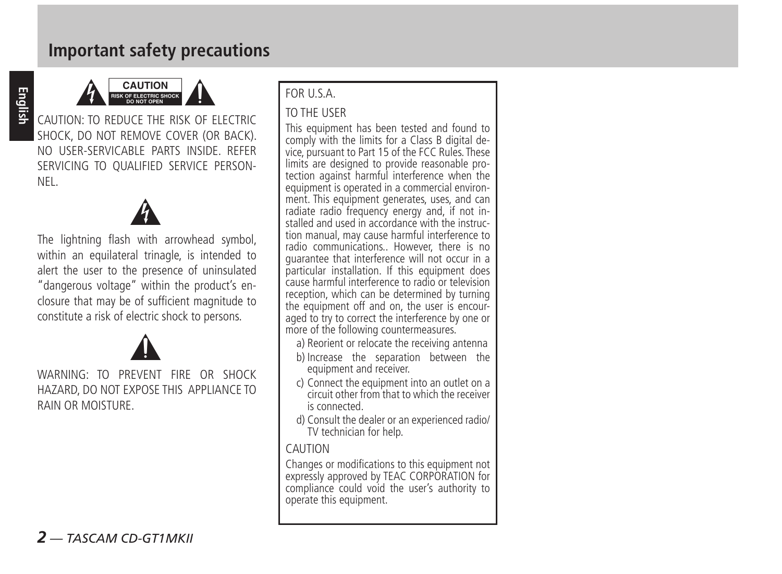#### **Important safety precautions**



CAUTION: TO REDUCE THE RISK OF ELECTRIC SHOCK, DO NOT REMOVE COVER (OR BACK). NO USER-SERVICABLE PARTS INSIDE. REFER SERVICING TO QUALIFIED SERVICE PERSON-NEL.



The lightning flash with arrowhead symbol, within an equilateral trinagle, is intended to alert the user to the presence of uninsulated "dangerous voltage" within the product's enclosure that may be of sufficient magnitude to constitute a risk of electric shock to persons.



WARNING: TO PREVENT FIRE OR SHOCK HAZARD, DO NOT EXPOSE THIS APPLIANCE TO RAIN OR MOISTURE.

#### FOR U.S.A.

#### TO THE USER

This equipment has been tested and found to comply with the limits for a Class B digital device, pursuant to Part 15 of the FCC Rules. These limits are designed to provide reasonable protection against harmful interference when the equipment is operated in a commercial environment. This equipment generates, uses, and can radiate radio frequency energy and, if not installed and used in accordance with the instruction manual, may cause harmful interference to radio communications.. However, there is no guarantee that interference will not occur in a particular installation. If this equipment does cause harmful interference to radio or television reception, which can be determined by turning<br>the equipment off and on, the user is encouraned to try to correct the interference by one or more of the following countermeasures.

- a) Reorient or relocate the receiving antenna
- b) Increase the separation between the equipment and receiver.
- c) Connect the equipment into an outlet on a circuit other from that to which the receiver is connected.
- d) Consult the dealer or an experienced radio/ TV technician for help.

#### **CAUTION**

Changes or modifications to this equipment not expressly approved by TEAC CORPORATION for compliance could void the user's authority to operate this equipment.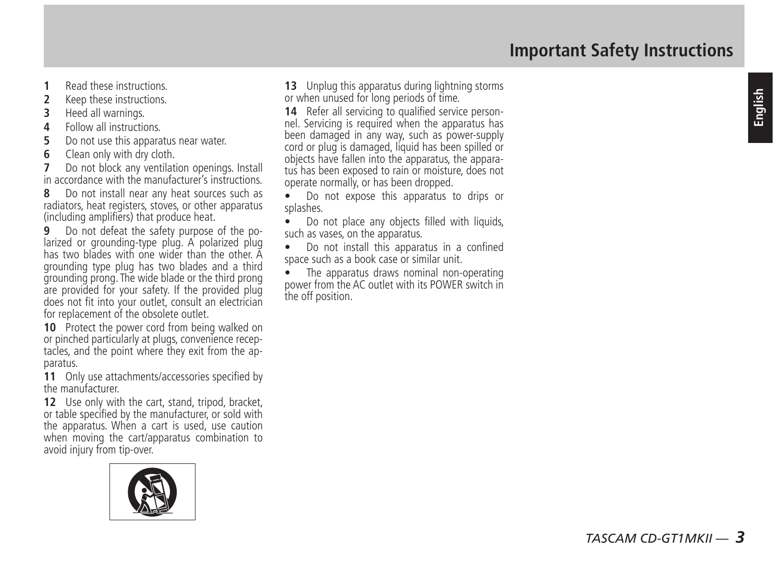- **1** Read these instructions.
- **2** Keep these instructions.
- **3** Heed all warnings.
- **4** Follow all instructions.
- **5** Do not use this apparatus near water.
- **6** Clean only with dry cloth.
- **7** Do not block any ventilation openings. Install in accordance with the manufacturer's instructions.
- **8** Do not install near any heat sources such as radiators, heat registers, stoves, or other apparatus (including amplifiers) that produce heat.<br>9 Do not defeat the safety purpose of the po-
- larized or grounding-type plug. A polarized plug. has two blades with one wider than the other A grounding type plug has two blades and a third grounding prong. The wide blade or the third prong are provided for your safety. If the provided plug does not fit into your outlet, consult an electrician for replacement of the obsolete outlet.
- **10** Protect the nower cord from being walked on or pinched particularly at plugs, convenience receptacles, and the point where they exit from the apparatus.
- **11** Only use attachments/accessories specified by the manufacturer.
- **12** Use only with the cart, stand, tripod, bracket, or table specified by the manufacturer, or sold with the apparatus. When a cart is used, use caution when moving the cart/apparatus combination to avoid injury from tip-over.



13 Unplug this apparatus during lightning storms or when unused for long periods of time.

- **14** Refer all servicing to qualified service personnel. Servicing is required when the apparatus has been damaged in any way, such as power-supply cord or plug is damaged, liquid has been spilled or objects have fallen into the apparatus, the apparatus has been exposed to rain or moisture, does not operate normally, or has been dropped.
- **•** Do not expose this apparatus to drips or splashes.
- Do not place any objects filled with liquids, such as vases, on the apparatus.
- **•** Do not install this apparatus in a confined space such as a book case or similar unit.
- **•** The apparatus draws nominal non-operating power from the AC outlet with its POWER switch in the off position.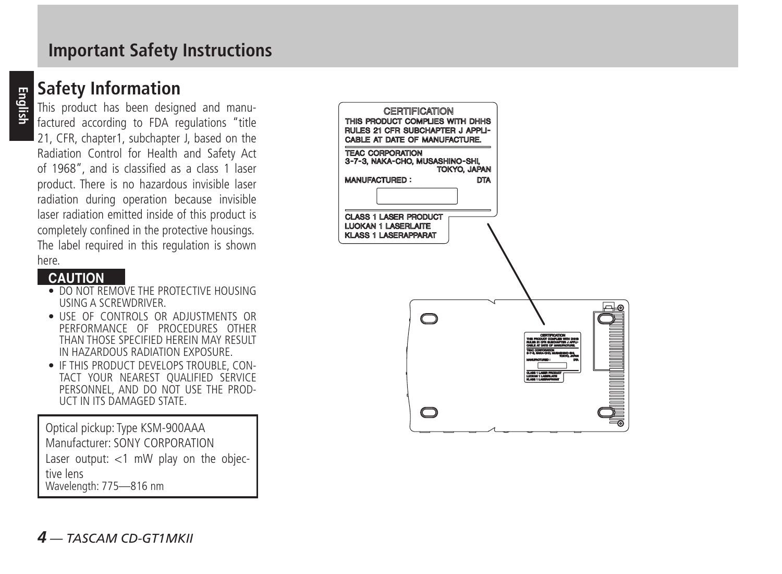#### **Important Safety Instructions**

#### **Safety Information**

This product has been designed and manufactured according to FDA regulations "title 21, CFR, chapter1, subchapter J, based on the Radiation Control for Health and Safety Act of 1968", and is classified as a class 1 laser product. There is no hazardous invisible laser radiation during operation because invisible laser radiation emitted inside of this product is completely confined in the protective housings. The label required in this regulation is shown here.

#### **CAUTION**

- DO NOT REMOVE THE PROTECTIVE HOUSING USING A SCREWDRIVER.
- USE OF CONTROLS OR ADJUSTMENTS OR PERFORMANCE OF PROCEDURES OTHER THAN THOSE SPECIFIED HEREIN MAY RESULT IN HAZARDOUS RADIATION EXPOSURE.
- **IF THIS PRODUCT DEVELOPS TROUBLE, CON-**TACT YOUR NEAREST QUALIFIED SERVICE PERSONNEL, AND DO NOT USE THE PROD- UCT IN ITS DAMAGED STATE.

Optical pickup: Type KSM-900AAA Manufacturer: SONY CORPORATION Laser output:  $<$ 1 mW play on the objective lens Wavelength: 775—816 nm

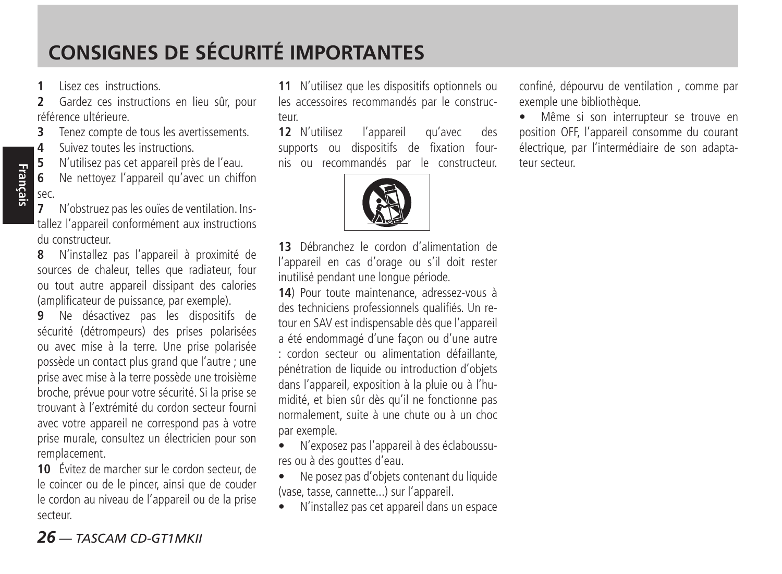### **CONSIGNES DE SÉCURITÉ IMPORTANTES**

**1** Lisez ces instructions.

**Français**

**2** Gardez ces instructions en lieu sûr, pour référence ultérieure.

**3** Tenez compte de tous les avertissements.

**4** Suivez toutes les instructions.<br>**5** N'utilisez pas cet appareil prè

**5** N'utilisez pas cet appareil près de l'eau.

**6** Ne nettoyez l'appareil qu'avec un chiffon sec.

**7** N'obstruez pas les ouïes de ventilation. Installez l'appareil conformément aux instructions du constructeur.

**8** N'installez pas l'appareil à proximité de sources de chaleur, telles que radiateur, four ou tout autre appareil dissipant des calories (amplificateur de puissance, par exemple).

**9** Ne désactivez pas les dispositifs de sécurité (détrompeurs) des prises polarisées ou avec mise à la terre. Une prise polarisée possède un contact plus grand que l'autre ; une prise avec mise à la terre possède une troisième broche, prévue pour votre sécurité. Si la prise se trouvant à l'extrémité du cordon secteur fourni avec votre appareil ne correspond pas à votre prise murale, consultez un électricien pour son remplacement.

**10** Évitez de marcher sur le cordon secteur, de le coincer ou de le pincer, ainsi que de couder le cordon au niveau de l'appareil ou de la prise secteur.

*26 — TASCAM CD-GT1MKII*

**11** N'utilisez que les dispositifs optionnels ou les accessoires recommandés par le constructeur.

**12** N'utilisez l'appareil qu'avec des supports ou dispositifs de fixation fournis ou recommandés par le constructeur.



**13** Débranchez le cordon d'alimentation de l'appareil en cas d'orage ou s'il doit rester inutilisé pendant une longue période.

**14**) Pour toute maintenance, adressez-vous à des techniciens professionnels qualifiés. Un retour en SAV est indispensable dès que l'appareil a été endommagé d'une façon ou d'une autre : cordon secteur ou alimentation défaillante, pénétration de liquide ou introduction d'objets dans l'appareil, exposition à la pluie ou à l'humidité, et bien sûr dès qu'il ne fonctionne pas normalement, suite à une chute ou à un choc par exemple.

• N'exposez pas l'appareil à des éclaboussures ou à des gouttes d'eau.

• Ne posez pas d'objets contenant du liquide (vase, tasse, cannette...) sur l'appareil.

• N'installez pas cet appareil dans un espace

confiné, dépourvu de ventilation , comme par exemple une bibliothèque.

• Même si son interrupteur se trouve en position OFF, l'appareil consomme du courant électrique, par l'intermédiaire de son adaptateur secteur.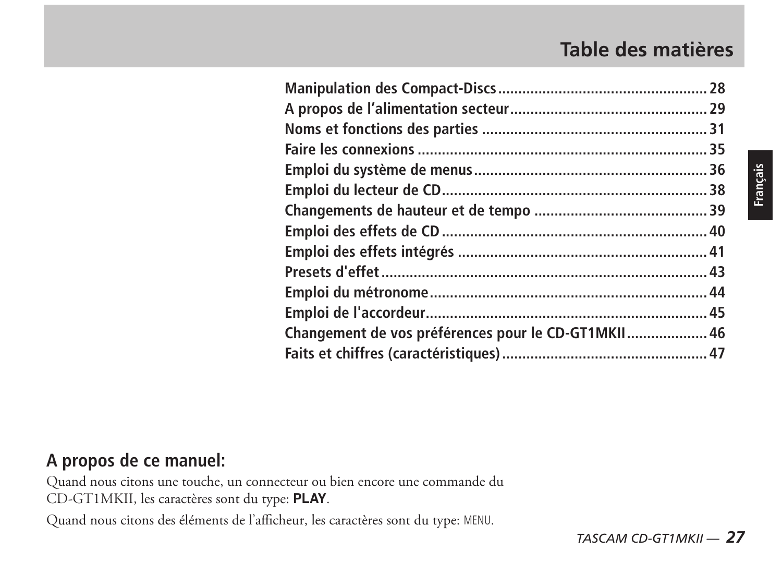### **Table des matières**

| Changement de vos préférences pour le CD-GT1MKII 46 |  |
|-----------------------------------------------------|--|
|                                                     |  |

### **A propos de ce manuel:**

Quand nous citons une touche, un connecteur ou bien encore une commande du CD-GT1MKII, les caractères sont du type: **PLAY**.

Quand nous citons des éléments de l'afficheur, les caractères sont du type: MENU.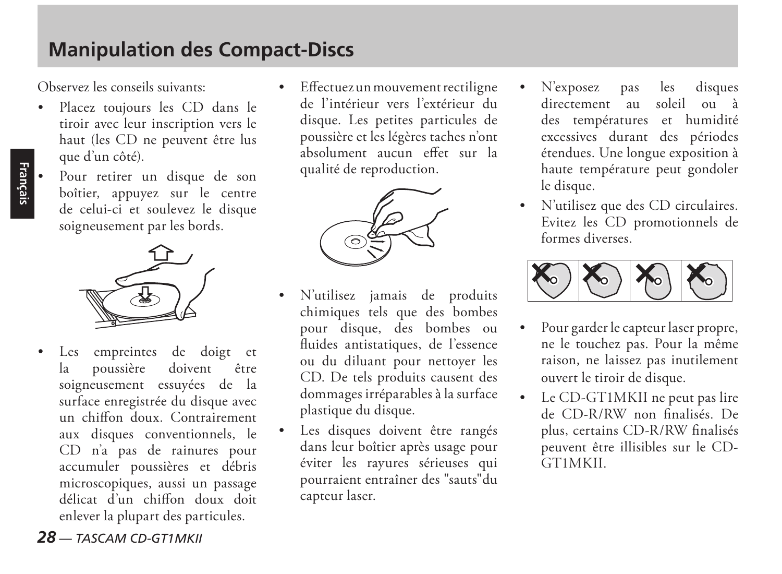### **Manipulation des Compact-Discs**

Observez les conseils suivants:

- Placez toujours les CD dans le tiroir avec leur inscription vers le haut (les CD ne peuvent être lus que d'un côté).
- Pour retirer un disque de son boîtier, appuyez sur le centre de celui-ci et soulevez le disque soigneusement par les bords.



Les empreintes de doigt et<br>la poussière doivent être la poussière doivent être soigneusement essuyées de la surface enregistrée du disque avec un chiffon doux. Contrairement aux disques conventionnels, le CD n'a pas de rainures pour accumuler poussières et débris microscopiques, aussi un passage délicat d'un chiffon doux doit enlever la plupart des particules.

 Effectuez un mouvement rectiligne de l'intérieur vers l'extérieur du disque. Les petites particules de poussière et les légères taches n'ont absolument aucun effet sur la qualité de reproduction.



- N'utilisez jamais de produits chimiques tels que des bombes pour disque, des bombes ou fluides antistatiques, de l'essence ou du diluant pour nettoyer les CD. De tels produits causent des dommages irréparables à la surface plastique du disque.
- Les disques doivent être rangés dans leur boîtier après usage pour éviter les rayures sérieuses qui pourraient entraîner des "sauts"du capteur laser.
- N'exposez pas les disques<br>directement au soleil ou à au soleil ou à des températures et humidité excessives durant des périodes étendues. Une longue exposition à haute température peut gondoler le disque.
- N'utilisez que des CD circulaires. Evitez les CD promotionnels de formes diverses.



- Pour garder le capteur laser propre, ne le touchez pas. Pour la même raison, ne laissez pas inutilement ouvert le tiroir de disque.
- Le CD-GT1MKII ne peut pas lire de CD-R/RW non finalisés. De plus, certains CD-R/RW finalisés peuvent être illisibles sur le CD-GT1MKII.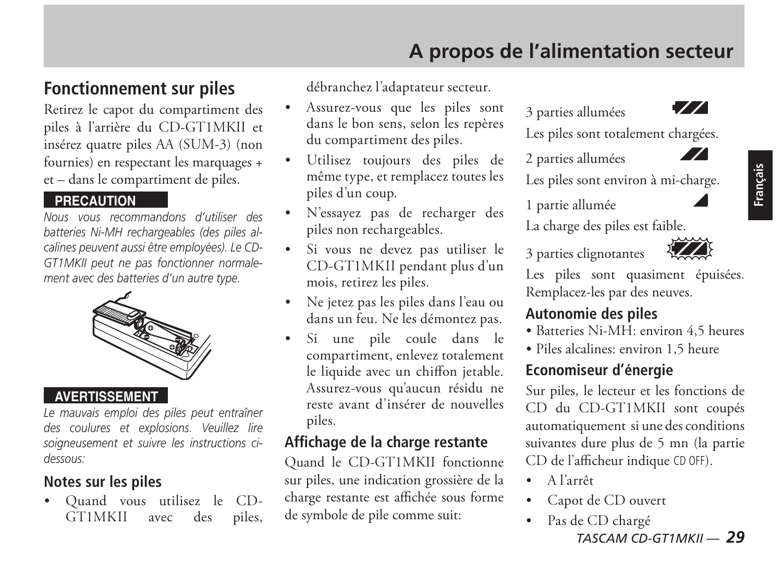### **A propos de l'alimentation secteur**

#### **Fonctionnement sur piles**

Retirez le capot du compartiment des piles à l'arrière du CD-GT1MKII et insérez quatre piles AA (SUM-3) (non fournies) en respectant les marquages + et – dans le compartiment de piles.

#### **PRECAUTION**

*Nous vous recommandons d'utiliser des batteries Ni-MH rechargeables (des piles alcalines peuvent aussi être employées). Le CD-GT1MKII peut ne pas fonctionner normalement avec des batteries d'un autre type.*



#### **AVERTISSEMENT**

*Le mauvais emploi des piles peut entraîner des coulures et explosions. Veuillez lire soigneusement et suivre les instructions cidessous:* 

#### **Notes sur les piles**

 Quand vous utilisez le CD-GT1MKII avec des piles, débranchez l'adaptateur secteur.

- Assurez-vous que les piles sont dans le bon sens, selon les repères du compartiment des piles.
- Utilisez toujours des piles de même type, et remplacez toutes les piles d'un coup.
- N'essayez pas de recharger des piles non rechargeables.
- Si vous ne devez pas utiliser le CD-GT1MKII pendant plus d'un mois, retirez les piles.
- Ne jetez pas les piles dans l'eau ou dans un feu. Ne les démontez pas.
- Si une pile coule dans le compartiment, enlevez totalement le liquide avec un chiffon jetable. Assurez-vous qu'aucun résidu ne reste avant d'insérer de nouvelles piles.

#### **Affichage de la charge restante**

Quand le CD-GT1MKII fonctionne sur piles, une indication grossière de la charge restante est affichée sous forme de symbole de pile comme suit:

3 parties allumées



 $\mathcal{L}$ 

Les piles sont totalement chargées.

2 parties allumées

Les piles sont environ à mi-charge.

1 partie allumée

La charge des piles est faible.



3 parties clignotantes

Les piles sont quasiment épuisées. Remplacez-les par des neuves.

#### **Autonomie des piles**

- Batteries Ni-MH: environ 4,5 heures
- Piles alcalines: environ 1,5 heure

#### **Economiseur d'énergie**

Sur piles, le lecteur et les fonctions de CD du CD-GT1MKII sont coupés automatiquement si une des conditions suivantes dure plus de 5 mn (la partie CD de l'afficheur indique CD OFF).

- A l'arrêt
- Capot de CD ouvert
- *TASCAM CD-GT1MKII 29* Pas de CD chargé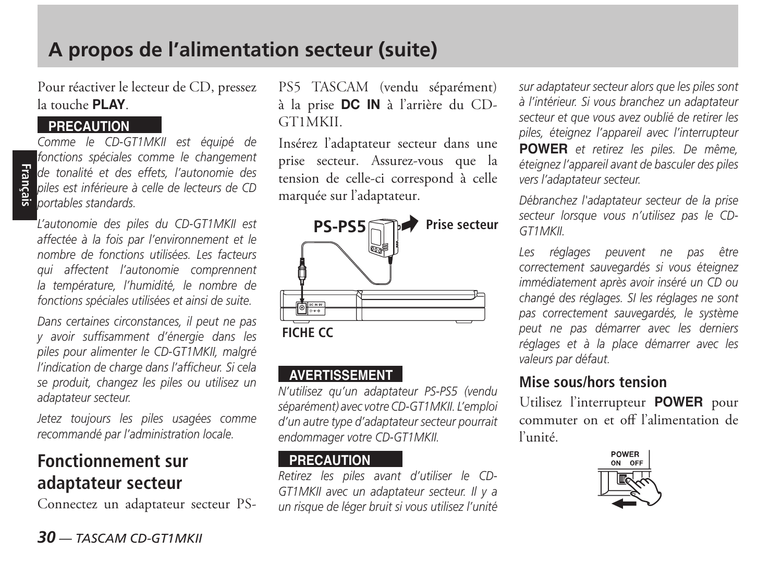Pour réactiver le lecteur de CD, pressez la touche **PLAY**.

#### **PRECAUTION**

**Fr**an*de* tonalité et des<br> **piles est inférieure** à<br> **portables standards.** *Comme le CD-GT1MKII est équipé de fonctions spéciales comme le changement de tonalité et des effets, l'autonomie des piles est inférieure à celle de lecteurs de CD* 

*L'autonomie des piles du CD-GT1MKII est affectée à la fois par l'environnement et le nombre de fonctions utilisées. Les facteurs qui affectent l'autonomie comprennent la température, l'humidité, le nombre de fonctions spéciales utilisées et ainsi de suite.*

*Dans certaines circonstances, il peut ne pas y avoir suffisamment d'énergie dans les piles pour alimenter le CD-GT1MKII, malgré l'indication de charge dans l'afficheur. Si cela se produit, changez les piles ou utilisez un adaptateur secteur.*

*Jetez toujours les piles usagées comme recommandé par l'administration locale.*

#### **Fonctionnement sur adaptateur secteur**

Connectez un adaptateur secteur PS-

PS5 TASCAM (vendu séparément) à la prise **DC IN** à l'arrière du CD-GT1MKII.

Insérez l'adaptateur secteur dans une prise secteur. Assurez-vous que la tension de celle-ci correspond à celle marquée sur l'adaptateur.



#### **AVERTISSEMENT**

*N'utilisez qu'un adaptateur PS-PS5 (vendu séparément) avec votre CD-GT1MKII. L'emploi d'un autre type d'adaptateur secteur pourrait endommager votre CD-GT1MKII.* 

#### **PRECAUTION**

*Retirez les piles avant d'utiliser le CD-GT1MKII avec un adaptateur secteur. Il y a un risque de léger bruit si vous utilisez l'unité*  *sur adaptateur secteur alors que les piles sont à l'intérieur. Si vous branchez un adaptateur secteur et que vous avez oublié de retirer les piles, éteignez l'appareil avec l'interrupteur*  **POWER** *et retirez les piles. De même, éteignez l'appareil avant de basculer des piles vers l'adaptateur secteur.*

*Débranchez l'adaptateur secteur de la prise secteur lorsque vous n'utilisez pas le CD-GT1MKII.*

*Les réglages peuvent ne pas être correctement sauvegardés si vous éteignez immédiatement après avoir inséré un CD ou changé des réglages. SI les réglages ne sont pas correctement sauvegardés, le système peut ne pas démarrer avec les derniers réglages et à la place démarrer avec les valeurs par défaut.* 

#### **Mise sous/hors tension**

Utilisez l'interrupteur **POWER** pour commuter on et off l'alimentation de l'unité.

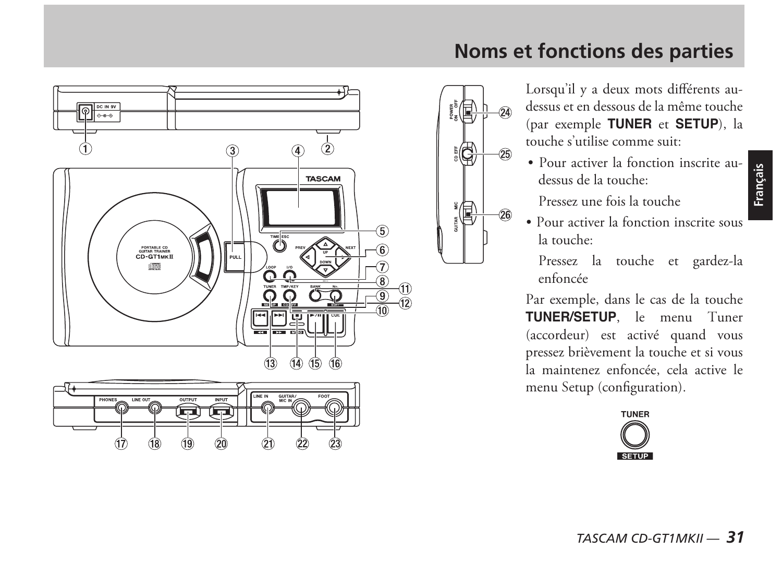

### **Noms et fonctions des parties**

Lorsqu'il y a deux mots différents audessus et en dessous de la même touche (par exemple **TUNER** et **SETUP**), la touche s'utilise comme suit:

 Pour activer la fonction inscrite audessus de la touche:

Pressez une fois la touche

侣

 Pour activer la fonction inscrite sous la touche:

Pressez la touche et gardez-la enfoncée

Par exemple, dans le cas de la touche **TUNER/SETUP**, le menu Tuner (accordeur) est activé quand vous pressez brièvement la touche et si vous la maintenez enfoncée, cela active le menu Setup (configuration).

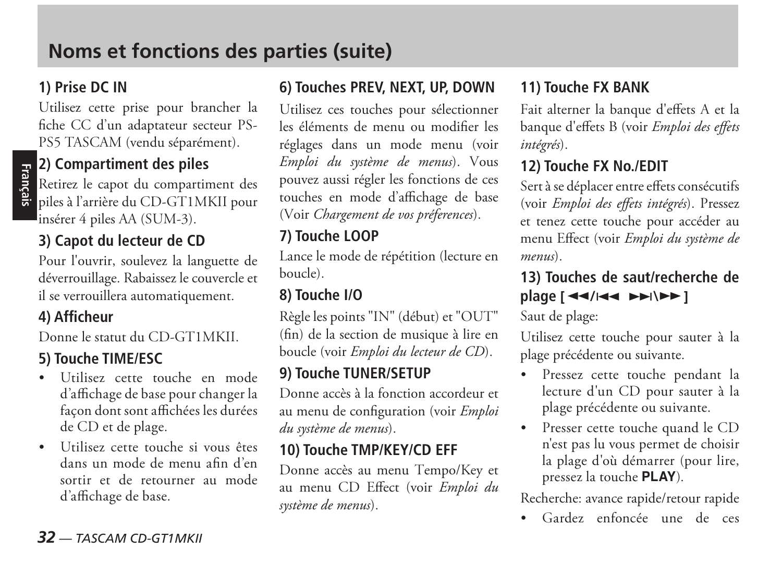#### **1) Prise DC IN**

Utilisez cette prise pour brancher la fiche CC d'un adaptateur secteur PS-PS5 TASCAM (vendu séparément).

# **Français**

#### **2) Compartiment des piles**

Retirez le capot du compartiment des piles à l'arrière du CD-GT1MKII pour insérer 4 piles AA (SUM-3).

#### **3) Capot du lecteur de CD**

Pour l'ouvrir, soulevez la languette de déverrouillage. Rabaissez le couvercle et il se verrouillera automatiquement.

#### **4) Afficheur**

Donne le statut du CD-GT1MKII.

#### **5) Touche TIME/ESC**

- Utilisez cette touche en mode d'affichage de base pour changer la façon dont sont affichées les durées de CD et de plage.
- Utilisez cette touche si vous êtes dans un mode de menu afin d'en sortir et de retourner au mode d'affichage de base.

#### **6) Touches PREV, NEXT, UP, DOWN**

Utilisez ces touches pour sélectionner les éléments de menu ou modifier les réglages dans un mode menu (voir *Emploi du système de menus*). Vous pouvez aussi régler les fonctions de ces touches en mode d'affichage de base (Voir *Chargement de vos préferences*).

#### **7) Touche LOOP**

Lance le mode de répétition (lecture en boucle).

#### **8) Touche I/O**

Règle les points "IN" (début) et "OUT" (fin) de la section de musique à lire en boucle (voir *Emploi du lecteur de CD*).

#### **9) Touche TUNER/SETUP**

Donne accès à la fonction accordeur et au menu de configuration (voir *Emploi du système de menus*).

#### **10) Touche TMP/KEY/CD EFF**

Donne accès au menu Tempo/Key et au menu CD Effect (voir *Emploi du système de menus*).

#### **11) Touche FX BANK**

Fait alterner la banque d'effets A et la banque d'effets B (voir *Emploi des effets intégrés*).

#### **12) Touche FX No./EDIT**

Sert à se déplacer entre effets consécutifs (voir *Emploi des effets intégrés*). Pressez et tenez cette touche pour accéder au menu Effect (voir *Emploi du système de menus*).

#### **13) Touches de saut/recherche de plage**  $\left[ \frac{44}{144} \right)$

Saut de plage:

Utilisez cette touche pour sauter à la plage précédente ou suivante.

- Pressez cette touche pendant la lecture d'un CD pour sauter à la plage précédente ou suivante.
- Presser cette touche quand le CD n'est pas lu vous permet de choisir la plage d'où démarrer (pour lire, pressez la touche **PLAY**).

Recherche: avance rapide/retour rapide

Gardez enfoncée une de ces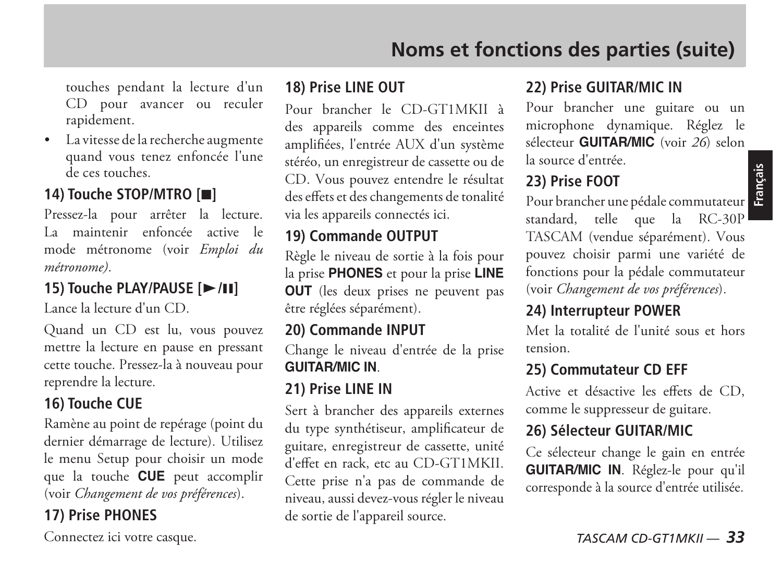touches pendant la lecture d'un CD pour avancer ou reculer rapidement.

 La vitesse de la recherche augmente quand vous tenez enfoncée l'une de ces touches.

#### **14) Touche STOP/MTRO [**H**]**

Pressez-la pour arrêter la lecture. La maintenir enfoncée active le mode métronome (voir *Emploi du métronome)*.

#### **15) Touche PLAY/PAUSE [▶/II]**

Lance la lecture d'un CD.

Quand un CD est lu, vous pouvez mettre la lecture en pause en pressant cette touche. Pressez-la à nouveau pour reprendre la lecture.

#### **16) Touche CUE**

Ramène au point de repérage (point du dernier démarrage de lecture). Utilisez le menu Setup pour choisir un mode que la touche **CUE** peut accomplir (voir *Changement de vos préférences*).

#### **17) Prise PHONES**

Connectez ici votre casque.

#### **18) Prise LINE OUT**

Pour brancher le CD-GT1MKII à des appareils comme des enceintes amplifiées, l'entrée AUX d'un système stéréo, un enregistreur de cassette ou de CD. Vous pouvez entendre le résultat des effets et des changements de tonalité via les appareils connectés ici.

#### **19) Commande OUTPUT**

Règle le niveau de sortie à la fois pour la prise **PHONES** et pour la prise **LINE OUT** (les deux prises ne peuvent pas être réglées séparément).

#### **20) Commande INPUT**

Change le niveau d'entrée de la prise **GUITAR/MIC IN**.

#### **21) Prise LINE IN**

Sert à brancher des appareils externes du type synthétiseur, amplificateur de guitare, enregistreur de cassette, unité d'effet en rack, etc au CD-GT1MKII. Cette prise n'a pas de commande de niveau, aussi devez-vous régler le niveau de sortie de l'appareil source.

#### **22) Prise GUITAR/MIC IN**

Pour brancher une guitare ou un microphone dynamique. Réglez le sélecteur **GUITAR/MIC** (voir *26*) selon la source d'entrée.

**Français**

#### **23) Prise FOOT**

Pour brancher une pédale commutateur standard, telle que la RC-30P TASCAM (vendue séparément). Vous pouvez choisir parmi une variété de fonctions pour la pédale commutateur (voir *Changement de vos préférences*).

#### **24) Interrupteur POWER**

Met la totalité de l'unité sous et hors tension.

#### **25) Commutateur CD EFF**

Active et désactive les effets de CD, comme le suppresseur de guitare.

#### **26) Sélecteur GUITAR/MIC**

Ce sélecteur change le gain en entrée **GUITAR/MIC IN**. Réglez-le pour qu'il corresponde à la source d'entrée utilisée.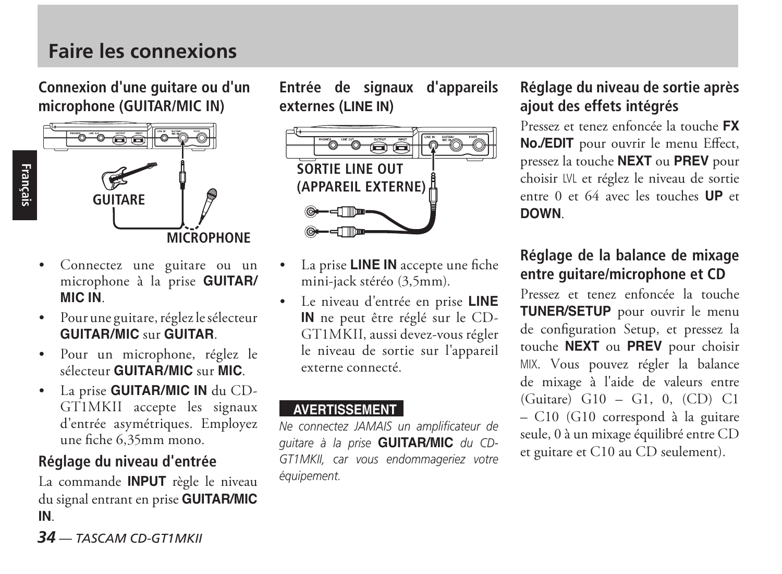### **Faire les connexions**

**Connexion d'une guitare ou d'un microphone (GUITAR/MIC IN)**



**Français**

- Connectez une guitare ou un microphone à la prise **GUITAR/ MIC IN**.
- Pour une guitare, réglez le sélecteur **GUITAR/MIC** sur **GUITAR**.
- Pour un microphone, réglez le sélecteur **GUITAR/MIC** sur **MIC**.
- La prise **GUITAR/MIC IN** du CD-GT1MKII accepte les signaux d'entrée asymétriques. Employez une fiche 6,35mm mono.

#### **Réglage du niveau d'entrée**

La commande **INPUT** règle le niveau du signal entrant en prise **GUITAR/MIC IN**.

**Entrée de signaux d'appareils externes (LINE IN)**



- La prise **LINE IN** accepte une fiche mini-jack stéréo (3,5mm).
- Le niveau d'entrée en prise **LINE IN** ne peut être réglé sur le CD-GT1MKII, aussi devez-vous régler le niveau de sortie sur l'appareil externe connecté.

#### **AVERTISSEMENT**

*Ne connectez JAMAIS un amplificateur de guitare à la prise* **GUITAR/MIC** *du CD-GT1MKII, car vous endommageriez votre équipement.*

#### **Réglage du niveau de sortie après ajout des effets intégrés**

Pressez et tenez enfoncée la touche **FX No./EDIT** pour ouvrir le menu Effect, pressez la touche **NEXT** ou **PREV** pour choisir LVL et réglez le niveau de sortie entre 0 et 64 avec les touches **UP** et **DOWN**.

#### **Réglage de la balance de mixage entre guitare/microphone et CD**

Pressez et tenez enfoncée la touche **TUNER/SETUP** pour ouvrir le menu de configuration Setup, et pressez la touche **NEXT** ou **PREV** pour choisir MIX. Vous pouvez régler la balance de mixage à l'aide de valeurs entre (Guitare) G10 – G1, 0, (CD) C1 – C10 (G10 correspond à la guitare seule, 0 à un mixage équilibré entre CD et guitare et C10 au CD seulement).

*34 — TASCAM CD-GT1MKII*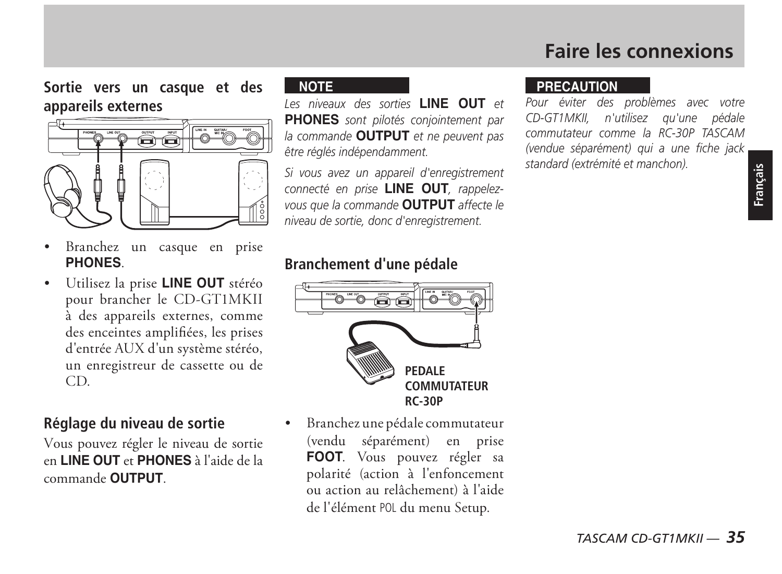### **Faire les connexions**

**Sortie vers un casque et des appareils externes**



- Branchez un casque en prise **PHONES**.
- Utilisez la prise **LINE OUT** stéréo pour brancher le CD-GT1MKII à des appareils externes, comme des enceintes amplifiées, les prises d'entrée AUX d'un système stéréo, un enregistreur de cassette ou de CD.

#### **Réglage du niveau de sortie**

Vous pouvez régler le niveau de sortie en **LINE OUT** et **PHONES** à l'aide de la commande **OUTPUT**.

#### **NOTE**

*Les niveaux des sorties* **LINE OUT** *et*  **PHONES** *sont pilotés conjointement par la commande* **OUTPUT** *et ne peuvent pas être réglés indépendamment.*

*Si vous avez un appareil d'enregistrement connecté en prise* **LINE OUT***, rappelezvous que la commande* **OUTPUT** *affecte le niveau de sortie, donc d'enregistrement.*

#### **Branchement d'une pédale**



 Branchez une pédale commutateur (vendu séparément) en prise **FOOT**. Vous pouvez régler sa polarité (action à l'enfoncement ou action au relâchement) à l'aide de l'élément POL du menu Setup.

#### **PRECAUTION**

*Pour éviter des problèmes avec votre CD-GT1MKII, n'utilisez qu'une pédale commutateur comme la RC-30P TASCAM (vendue séparément) qui a une fiche jack standard (extrémité et manchon).*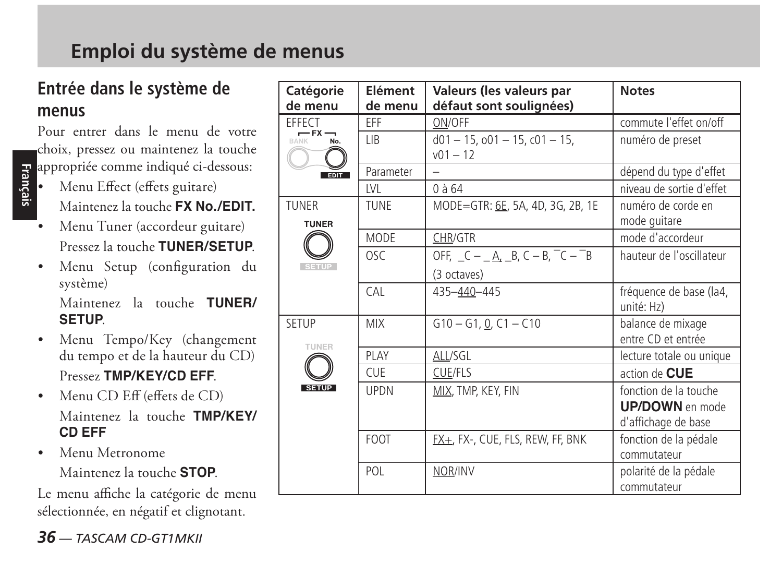### **Entrée dans le système de menus**

Pour entrer dans le menu de votre choix, pressez ou maintenez la touche

- **Francipie comme indiqué ci-dessous:**<br> **Francipie de la formation de la formation de la formation de la formation de la formation de la formation de la formation de la formation de la formation de la formation de la format**  Menu Effect (effets guitare) Maintenez la touche **FX No./EDIT.**
	- Menu Tuner (accordeur guitare) Pressez la touche **TUNER/SETUP**.
	- Menu Setup (configuration du système)

 Maintenez la touche **TUNER/ SETUP**.

- Menu Tempo/Key (changement du tempo et de la hauteur du CD) Pressez **TMP/KEY/CD EFF**.
- Menu CD Eff (effets de CD) Maintenez la touche **TMP/KEY/ CD EFF**
- Menu Metronome Maintenez la touche **STOP**.

Le menu affiche la catégorie de menu sélectionnée, en négatif et clignotant.

| Catégorie<br>de menu    | <b>Flément</b><br>de menu | Valeurs (les valeurs par<br>défaut sont soulignées)   | <b>Notes</b>                                                           |
|-------------------------|---------------------------|-------------------------------------------------------|------------------------------------------------------------------------|
| EFFECT<br>$-5x-$<br>No. | FFF                       | ON/OFF                                                | commute l'effet on/off                                                 |
|                         | LIB.                      | $d01 - 15$ , $o01 - 15$ , $c01 - 15$ ,<br>$v01 - 12$  | numéro de preset                                                       |
| <b>EDIT</b>             | Parameter                 |                                                       | dépend du type d'effet                                                 |
|                         | IVL                       | $0$ à 64                                              | niveau de sortie d'effet                                               |
| TUNER<br><b>TUNER</b>   | TUNE                      | MODE=GTR: 6E, 5A, 4D, 3G, 2B, 1E                      | numéro de corde en<br>mode guitare                                     |
|                         | MODE                      | CHR/GTR                                               | mode d'accordeur                                                       |
| <b>SETUP</b>            | OSC                       | OFF, $C - A$ , $B$ , $C - B$ , $C - B$<br>(3 octaves) | hauteur de l'oscillateur                                               |
|                         | <b>CAL</b>                | 435-440-445                                           | fréquence de base (la4,<br>unité: Hz)                                  |
| SETUP<br><b>TUNER</b>   | <b>MIX</b>                | $G10 - G1, Q, C1 - C10$                               | balance de mixage<br>entre CD et entrée                                |
|                         | PLAY                      | ALL/SGL                                               | lecture totale ou unique                                               |
|                         | <b>CUF</b>                | <b>CUE/FLS</b>                                        | action de CUE                                                          |
| <b>SETUP</b>            | <b>UPDN</b>               | MIX, TMP, KEY, FIN                                    | fonction de la touche<br><b>UP/DOWN</b> en mode<br>d'affichage de base |
|                         | <b>FOOT</b>               | EX±, FX-, CUE, FLS, REW, FF, BNK                      | fonction de la pédale<br>commutateur                                   |
|                         | POL                       | NOR/INV                                               | polarité de la pédale<br>commutateur                                   |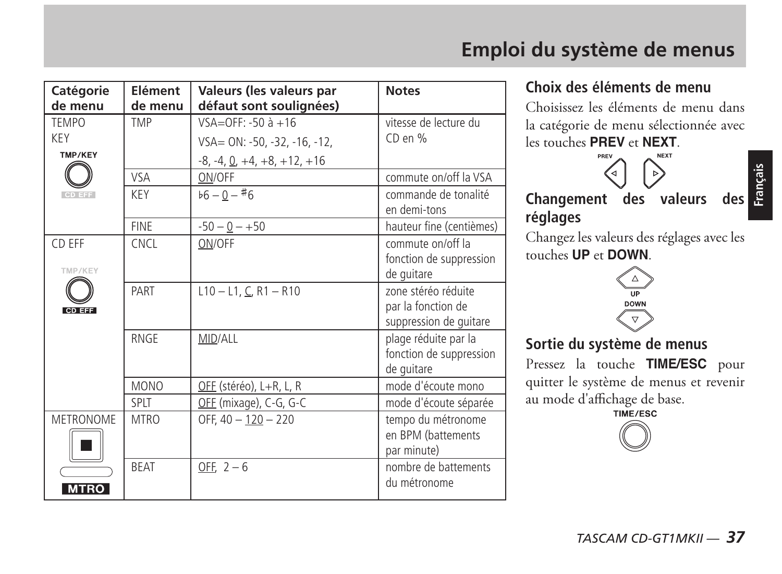| Catégorie<br>de menu                  | Elément<br>de menu         | Valeurs (les valeurs par<br>défaut sont soulignées)                                             | <b>Notes</b>                                                                           |
|---------------------------------------|----------------------------|-------------------------------------------------------------------------------------------------|----------------------------------------------------------------------------------------|
| <b>TEMPO</b><br><b>KEY</b><br>TMP/KEY | TMP                        | VSA=OFF: -50 à +16<br>VSA= ON: -50, -32, -16, -12,<br>$-8, -4, \underline{0}, +4, +8, +12, +16$ | vitesse de lecture du<br>CD en %                                                       |
| CD EFF                                | VSA<br>KEY                 | ON/OFF<br>$b6 - 0 - 46$                                                                         | commute on/off la VSA<br>commande de tonalité                                          |
|                                       |                            |                                                                                                 | en demi-tons                                                                           |
| CD EFF<br>TMP/KEY                     | <b>FINE</b><br><b>CNCL</b> | $-50 - 0 - +50$<br>ON/OFF                                                                       | hauteur fine (centièmes)<br>commute on/off la<br>fonction de suppression<br>de quitare |
| CD EFF                                | PART                       | $L10 - L1$ , C, R1 - R10                                                                        | zone stéréo réduite<br>par la fonction de<br>suppression de quitare                    |
|                                       | <b>RNGE</b>                | MID/ALL                                                                                         | plage réduite par la<br>fonction de suppression<br>de quitare                          |
|                                       | <b>MONO</b>                | OEE (stéréo), L+R, L, R                                                                         | mode d'écoute mono                                                                     |
|                                       | SPLT                       | OFF (mixage), C-G, G-C                                                                          | mode d'écoute séparée                                                                  |
| METRONOME                             | <b>MTRO</b>                | OFF, 40 - 120 - 220                                                                             | tempo du métronome<br>en BPM (battements<br>par minute)                                |
| <b>MTRO</b>                           | <b>BEAT</b>                | OFF, $2-6$                                                                                      | nombre de battements<br>du métronome                                                   |

### **Emploi du système de menus**

#### **Choix des éléments de menu**

Choisissez les éléments de menu dans la catégorie de menu sélectionnée avec les touches **PREV** et **NEXT**.



**Français**

**Changement des valeurs réglages**

Changez les valeurs des réglages avec les touches **UP** et **DOWN**.



**Sortie du système de menus**

Pressez la touche **TIME/ESC** pour quitter le système de menus et revenir u mode d'affichage de base.

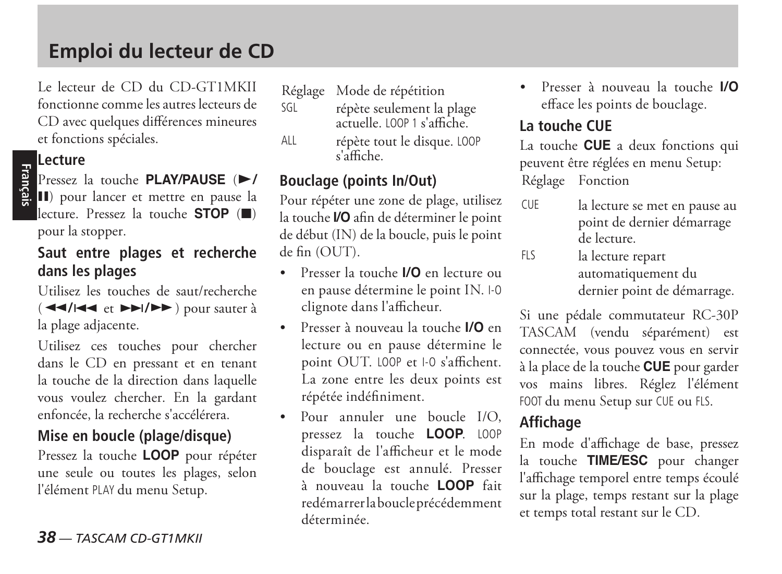### **Emploi du lecteur de CD**

Le lecteur de CD du CD-GT1MKII fonctionne comme les autres lecteurs de CD avec quelques différences mineures et fonctions spéciales.

#### **Lecture**

**Français**

Pressez la touche **PLAY/PAUSE** ( $\blacktriangleright$ / J) pour lancer et mettre en pause la lecture. Pressez la touche **STOP** (H) pour la stopper.

#### **Saut entre plages et recherche dans les plages**

Utilisez les touches de saut/recherche ( **44/|44** et *▶* $\blacktriangleright$ **/** $\blacktriangleright$ ) pour sauter à la plage adjacente.

Utilisez ces touches pour chercher dans le CD en pressant et en tenant la touche de la direction dans laquelle vous voulez chercher. En la gardant enfoncée, la recherche s'accélérera.

#### **Mise en boucle (plage/disque)**

Pressez la touche **LOOP** pour répéter une seule ou toutes les plages, selon l'élément PLAY du menu Setup.

Réglage Mode de répétition

- SGL répète seulement la plage actuelle. LOOP 1 s'affiche.
- ALL répète tout le disque. LOOP s'affiche.

#### **Bouclage (points In/Out)**

Pour répéter une zone de plage, utilisez la touche **I/O** afin de déterminer le point de début (IN) de la boucle, puis le point de fin (OUT).

- Presser la touche **I/O** en lecture ou en pause détermine le point IN. I-O clignote dans l'afficheur.
- Presser à nouveau la touche **I/O** en lecture ou en pause détermine le point OUT. LOOP et I-O s'affichent. La zone entre les deux points est répétée indéfiniment.
- Pour annuler une boucle I/O, pressez la touche **LOOP**. LOOP disparaît de l'afficheur et le mode de bouclage est annulé. Presser à nouveau la touche **LOOP** fait redémarrer la boucle précédemment déterminée.

 Presser à nouveau la touche **I/O** efface les points de bouclage.

#### **La touche CUE**

La touche **CUE** a deux fonctions qui peuvent être réglées en menu Setup: Réglage Fonction

- CUE la lecture se met en pause au point de dernier démarrage de lecture.
- FLS la lecture repart automatiquement du dernier point de démarrage.

Si une pédale commutateur RC-30P TASCAM (vendu séparément) est connectée, vous pouvez vous en servir à la place de la touche **CUE** pour garder vos mains libres. Réglez l'élément FOOT du menu Setup sur CUE ou FLS.

#### **Affichage**

En mode d'affichage de base, pressez la touche **TIME/ESC** pour changer l'affichage temporel entre temps écoulé sur la plage, temps restant sur la plage et temps total restant sur le CD.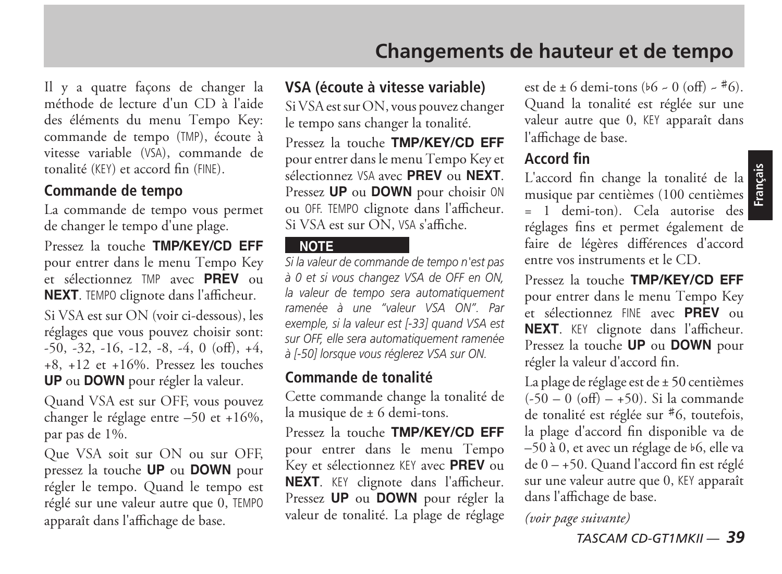Il y a quatre façons de changer la méthode de lecture d'un CD à l'aide des éléments du menu Tempo Key: commande de tempo (TMP), écoute à vitesse variable (VSA), commande de tonalité (KEY) et accord fin (FINE).

#### **Commande de tempo**

La commande de tempo vous permet de changer le tempo d'une plage.

Pressez la touche **TMP/KEY/CD EFF** pour entrer dans le menu Tempo Key et sélectionnez TMP avec **PREV** ou **NEXT**. TEMPO clignote dans l'afficheur.

Si VSA est sur ON (voir ci-dessous), les réglages que vous pouvez choisir sont:  $-50, -32, -16, -12, -8, -4, 0$  (off),  $+4$ , +8, +12 et +16%. Pressez les touches **UP** ou **DOWN** pour régler la valeur.

Quand VSA est sur OFF, vous pouvez changer le réglage entre -50 et +16%. par pas de 1%.

Que VSA soit sur ON ou sur OFF, pressez la touche **UP** ou **DOWN** pour régler le tempo. Quand le tempo est réglé sur une valeur autre que 0, TEMPO apparaît dans l'affichage de base.

#### **VSA (écoute à vitesse variable)**

Si VSA est sur ON, vous pouvez changer le tempo sans changer la tonalité.

Pressez la touche **TMP/KEY/CD EFF** pour entrer dans le menu Tempo Key et sélectionnez VSA avec **PREV** ou **NEXT**. Pressez **UP** ou **DOWN** pour choisir ON ou OFF. TEMPO clignote dans l'afficheur. Si VSA est sur ON, VSA s'affiche.

#### **NOTE**

*Si la valeur de commande de tempo n'est pas à 0 et si vous changez VSA de OFF en ON, la valeur de tempo sera automatiquement ramenée à une "valeur VSA ON". Par exemple, si la valeur est [-33] quand VSA est sur OFF, elle sera automatiquement ramenée à [-50] lorsque vous réglerez VSA sur ON.* 

#### **Commande de tonalité**

Cette commande change la tonalité de la musique de ± 6 demi-tons.

Pressez la touche **TMP/KEY/CD EFF** pour entrer dans le menu Tempo Key et sélectionnez KEY avec **PREV** ou **NEXT**. KEY clignote dans l'afficheur. Pressez **UP** ou **DOWN** pour régler la valeur de tonalité. La plage de réglage est de  $\pm$  6 demi-tons ( $\frac{1}{6}$  - 0 (off) -  $\pm$  6). Quand la tonalité est réglée sur une valeur autre que 0, KEY apparaît dans l'affichage de base.

#### **Accord fin**

L'accord fin change la tonalité de la **Française de la présentait de la présentait de la présentait de la présentait de la présentait de la présentait de la présentait de la présentait de la présentait de la présentait de** musique par centièmes (100 centièmes = 1 demi-ton). Cela autorise des réglages fins et permet également de faire de légères différences d'accord entre vos instruments et le CD.

Pressez la touche **TMP/KEY/CD EFF** pour entrer dans le menu Tempo Key et sélectionnez FINE avec **PREV** ou **NEXT**. KEY clignote dans l'afficheur. Pressez la touche **UP** ou **DOWN** pour régler la valeur d'accord fin.

La plage de réglage est de ± 50 centièmes  $(-50 - 0)$  (off) – +50). Si la commande de tonalité est réglée sur  $*6$ , toutefois, la plage d'accord fin disponible va de –50 à 0, et avec un réglage de I6, elle va de 0 – +50. Quand l'accord fin est réglé sur une valeur autre que 0, KEY apparaît dans l'affichage de base.

*(voir page suivante)*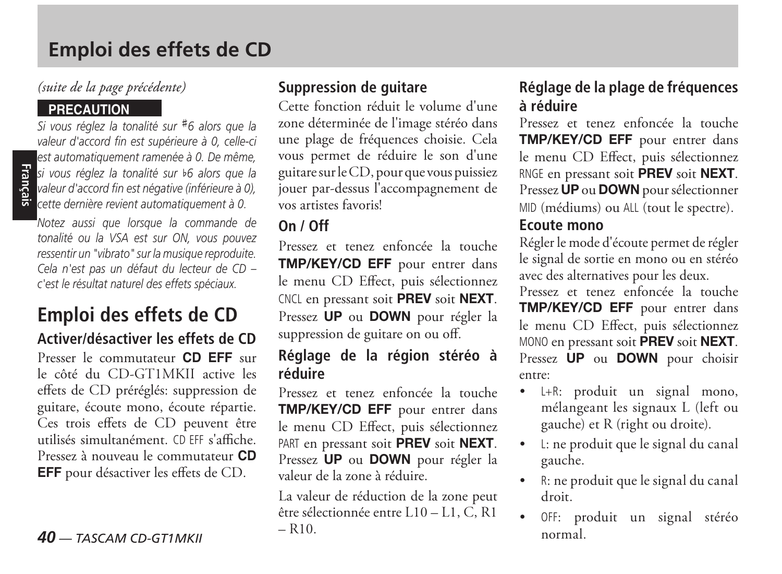### **Emploi des effets de CD**

#### *(suite de la page précédente)*

#### **PRECAUTION**

**Français**

*Si vous réglez la tonalité sur* #6 alors que la *valeur d'accord fin est supérieure à 0, celle-ci est automatiquement ramenée à 0. De même, si vous réglez la tonalité sur* I*6 alors que la valeur d'accord fin est négative (inférieure à 0), cette dernière revient automatiquement à 0.*

*Notez aussi que lorsque la commande de tonalité ou la VSA est sur ON, vous pouvez ressentir un "vibrato" sur la musique reproduite. Cela n'est pas un défaut du lecteur de CD – c'est le résultat naturel des effets spéciaux.*

#### **Emploi des effets de CD Activer/désactiver les effets de CD**

Presser le commutateur **CD EFF** sur le côté du CD-GT1MKII active les effets de CD préréglés: suppression de guitare, écoute mono, écoute répartie. Ces trois effets de CD peuvent être utilisés simultanément. CD EFF s'affiche. Pressez à nouveau le commutateur **CD EFF** pour désactiver les effets de CD.

#### **Suppression de guitare**

Cette fonction réduit le volume d'une zone déterminée de l'image stéréo dans une plage de fréquences choisie. Cela vous permet de réduire le son d'une guitare sur le CD, pour que vous puissiez jouer par-dessus l'accompagnement de vos artistes favoris!

#### **On / Off**

Pressez et tenez enfoncée la touche **TMP/KEY/CD EFF** pour entrer dans le menu CD Effect, puis sélectionnez CNCL en pressant soit **PREV** soit **NEXT**. Pressez **UP** ou **DOWN** pour régler la suppression de guitare on ou off.

#### **Réglage de la région stéréo à réduire**

Pressez et tenez enfoncée la touche **TMP/KEY/CD EFF** pour entrer dans le menu CD Effect, puis sélectionnez PART en pressant soit **PREV** soit **NEXT**. Pressez **UP** ou **DOWN** pour régler la valeur de la zone à réduire.

La valeur de réduction de la zone peut être sélectionnée entre L10 – L1, C, R1  $-$  R<sub>10</sub>.

#### **Réglage de la plage de fréquences à réduire**

Pressez et tenez enfoncée la touche **TMP/KEY/CD EFF** pour entrer dans le menu CD Effect, puis sélectionnez RNGE en pressant soit **PREV** soit **NEXT**. Pressez **UP** ou **DOWN** pour sélectionner MID (médiums) ou ALL (tout le spectre).

#### **Ecoute mono**

Régler le mode d'écoute permet de régler le signal de sortie en mono ou en stéréo avec des alternatives pour les deux.

Pressez et tenez enfoncée la touche **TMP/KEY/CD EFF** pour entrer dans le menu CD Effect, puis sélectionnez MONO en pressant soit **PREV** soit **NEXT**. Pressez **UP** ou **DOWN** pour choisir entre:

- L+R: produit un signal mono, mélangeant les signaux L (left ou gauche) et R (right ou droite).
- L: ne produit que le signal du canal gauche.
- R: ne produit que le signal du canal droit.
- OFF: produit un signal stéréo normal.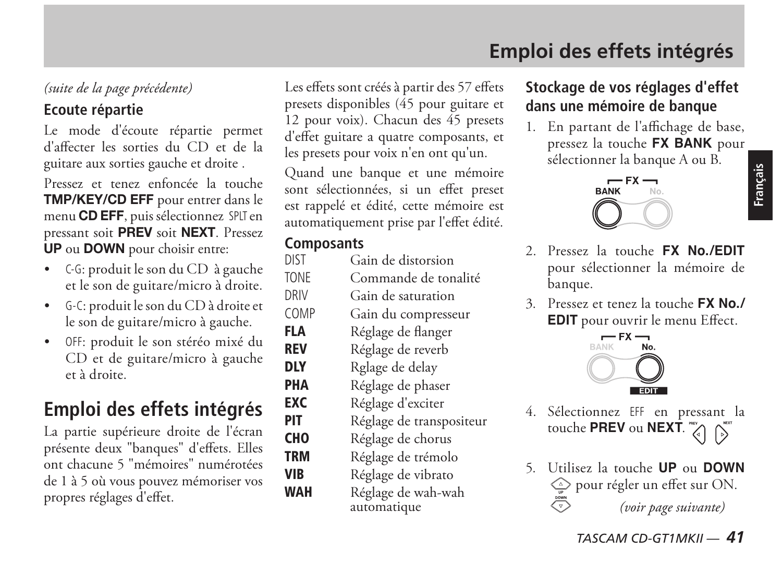### **Emploi des effets intégrés**

#### *(suite de la page précédente)*

#### **Ecoute répartie**

Le mode d'écoute répartie permet d'affecter les sorties du CD et de la guitare aux sorties gauche et droite .

Pressez et tenez enfoncée la touche **TMP/KEY/CD EFF** pour entrer dans le menu **CD EFF**, puis sélectionnez SPLT en pressant soit **PREV** soit **NEXT**. Pressez **UP** ou **DOWN** pour choisir entre:

- C-G: produit le son du CD à gauche et le son de guitare/micro à droite.
- G-C: produit le son du CD à droite et le son de guitare/micro à gauche.
- OFF: produit le son stéréo mixé du CD et de guitare/micro à gauche et à droite.

### **Emploi des effets intégrés**

La partie supérieure droite de l'écran présente deux "banques" d'effets. Elles ont chacune 5 "mémoires" numérotées de 1 à 5 où vous pouvez mémoriser vos propres réglages d'effet.

Les effets sont créés à partir des 57 effets presets disponibles (45 pour guitare et 12 pour voix). Chacun des 45 presets d'effet guitare a quatre composants, et les presets pour voix n'en ont qu'un.

Quand une banque et une mémoire sont sélectionnées, si un effet preset est rappelé et édité, cette mémoire est automatiquement prise par l'effet édité.

### **Composants**<br>DIST Ga

Gain de distorsion TONE Commande de tonalité DRIV Gain de saturation COMP Gain du compresseur FLA Réglage de flanger REV Réglage de reverb **DLY** Rglage de delay<br>**PHA** Réglage de phas **PHA** Réglage de phaser<br>**FXC** Réglage d'exciter **EXC** Réglage d'exciter<br>**PIT** Réglage de transr **PIT** Réglage de transpositeur<br>**CHO** Réglage de chorus **CHO** Réglage de chorus<br>**TRM** Réglage de trémole Réglage de trémolo VIB Réglage de vibrato WAH Réglage de wah-wah automatique

#### **Stockage de vos réglages d'effet dans une mémoire de banque**

1. En partant de l'affichage de base, pressez la touche **FX BANK** pour sélectionner la banque A ou B.



- 2. Pressez la touche **FX No./EDIT** pour sélectionner la mémoire de banque.
- 3. Pressez et tenez la touche **FX No./ EDIT** pour ouvrir le menu Effect.



- 4. Sélectionnez EFF en pressant la touche **PREV** ou **NEXT**.
- 5. Utilisez la touche **UP** ou **DOWN** pour régler un effet sur ON.  $\overline{\bigtriangledown}$ *(voir page suivante)*

*TASCAM CD-GT1MKII — 41*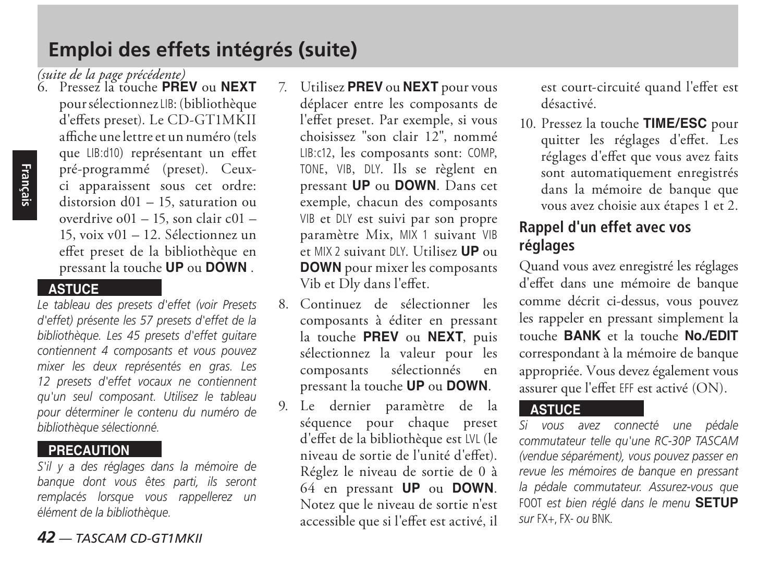### **Emploi des effets intégrés (suite)**

6. Pressez la touche **PREV** ou **NEXT** *(suite de la page précédente)*pour sélectionnez LIB: (bibliothèque d'effets preset). Le CD-GT1MKII affiche une lettre et un numéro (tels que LIB:d10) représentant un effet pré-programmé (preset). Ceuxci apparaissent sous cet ordre: distorsion d01 – 15, saturation ou overdrive o01 – 15, son clair c01 – 15, voix v01 – 12. Sélectionnez un effet preset de la bibliothèque en pressant la touche **UP** ou **DOWN** .

#### **ASTUCE**

*Le tableau des presets d'effet (voir Presets d'effet) présente les 57 presets d'effet de la bibliothèque. Les 45 presets d'effet guitare contiennent 4 composants et vous pouvez mixer les deux représentés en gras. Les 12 presets d'effet vocaux ne contiennent qu'un seul composant. Utilisez le tableau pour déterminer le contenu du numéro de bibliothèque sélectionné.* 

#### **PRECAUTION**

*S'il y a des réglages dans la mémoire de banque dont vous êtes parti, ils seront remplacés lorsque vous rappellerez un élément de la bibliothèque.*

#### *42 — TASCAM CD-GT1MKII*

- 7. Utilisez **PREV** ou **NEXT** pour vous déplacer entre les composants de l'effet preset. Par exemple, si vous choisissez "son clair 12", nommé LIB:c12, les composants sont: COMP, TONE, VIB, DLY. Ils se règlent en pressant **UP** ou **DOWN**. Dans cet exemple, chacun des composants VIB et DLY est suivi par son propre paramètre Mix, MIX 1 suivant VIB et MIX 2 suivant DLY. Utilisez **UP** ou **DOWN** pour mixer les composants Vib et Dly dans l'effet.
- 8. Continuez de sélectionner les composants à éditer en pressant la touche **PREV** ou **NEXT**, puis sélectionnez la valeur pour les<br>composants sélectionnés en composants sélectionnés en pressant la touche **UP** ou **DOWN**.
- 9. Le dernier paramètre de la séquence pour chaque preset d'effet de la bibliothèque est LVL (le niveau de sortie de l'unité d'effet). Réglez le niveau de sortie de 0 à 64 en pressant **UP** ou **DOWN**. Notez que le niveau de sortie n'est accessible que si l'effet est activé, il

est court-circuité quand l'effet est désactivé.

10. Pressez la touche **TIME/ESC** pour quitter les réglages d'effet. Les réglages d'effet que vous avez faits sont automatiquement enregistrés dans la mémoire de banque que vous avez choisie aux étapes 1 et 2.

#### **Rappel d'un effet avec vos réglages**

Quand vous avez enregistré les réglages d'effet dans une mémoire de banque comme décrit ci-dessus, vous pouvez les rappeler en pressant simplement la touche **BANK** et la touche **No./EDIT** correspondant à la mémoire de banque appropriée. Vous devez également vous assurer que l'effet EFF est activé (ON).

#### **ASTUCE**

*Si vous avez connecté une pédale commutateur telle qu'une RC-30P TASCAM (vendue séparément), vous pouvez passer en revue les mémoires de banque en pressant la pédale commutateur. Assurez-vous que*  FOOT *est bien réglé dans le menu* **SETUP** *sur* FX+, FX- *ou* BNK*.*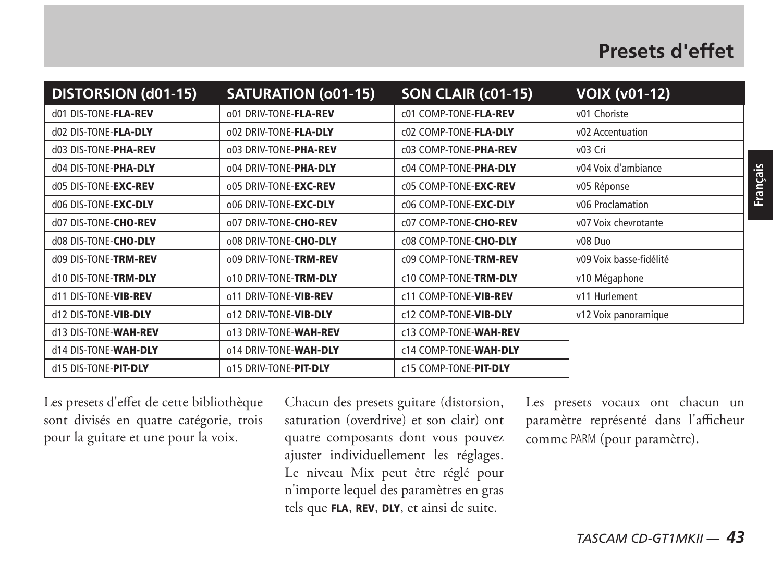| <b>DISTORSION (d01-15)</b> | <b>SATURATION (001-15)</b> | SON CLAIR (c01-15)    | <b>VOIX (v01-12)</b>    |
|----------------------------|----------------------------|-----------------------|-------------------------|
| d01 DIS-TONE-FLA-REV       | 001 DRIV-TONE-FLA-REV      | c01 COMP-TONE-FLA-REV | v01 Choriste            |
| d02 DIS-TONE-FLA-DLY       | 002 DRIV-TONE-FLA-DLY      | c02 COMP-TONE-FLA-DLY | v02 Accentuation        |
| d03 DIS-TONE-PHA-REV       | 003 DRIV-TONE-PHA-REV      | c03 COMP-TONE-PHA-REV | v03 Cri                 |
| d04 DIS-TONE-PHA-DLY       | 004 DRIV-TONE-PHA-DLY      | c04 COMP-TONE-PHA-DLY | v04 Voix d'ambiance     |
| d05 DIS-TONE-EXC-REV       | 005 DRIV-TONE-EXC-REV      | c05 COMP-TONE-EXC-REV | v05 Réponse             |
| d06 DIS-TONE-EXC-DLY       | 006 DRIV-TONE-EXC-DLY      | c06 COMP-TONE-EXC-DLY | v06 Proclamation        |
| d07 DIS-TONE-CHO-REV       | 007 DRIV-TONE-CHO-REV      | c07 COMP-TONE-CHO-REV | v07 Voix chevrotante    |
| d08 DIS-TONE-CHO-DLY       | 008 DRIV-TONE-CHO-DLY      | c08 COMP-TONE-CHO-DLY | v08 Duo                 |
| d09 DIS-TONE-TRM-REV       | 009 DRIV-TONE-TRM-REV      | c09 COMP-TONE-TRM-REV | v09 Voix basse-fidélité |
| d10 DIS-TONE-TRM-DLY       | o10 DRIV-TONE-TRM-DLY      | c10 COMP-TONE-TRM-DLY | v10 Mégaphone           |
| d11 DIS-TONE-VIB-REV       | o11 DRIV-TONE-VIB-REV      | c11 COMP-TONE-VIB-REV | v11 Hurlement           |
| d12 DIS-TONE-VIB-DLY       | o12 DRIV-TONE-VIB-DLY      | c12 COMP-TONE-VIB-DLY | v12 Voix panoramique    |
| d13 DIS-TONE-WAH-REV       | o13 DRIV-TONE-WAH-REV      | c13 COMP-TONE-WAH-REV |                         |
| d14 DIS-TONE-WAH-DLY       | o14 DRIV-TONE-WAH-DLY      | c14 COMP-TONE-WAH-DLY |                         |
| d15 DIS-TONE-PIT-DLY       | o15 DRIV-TONE-PIT-DLY      | c15 COMP-TONE-PIT-DLY |                         |

Les presets d'effet de cette bibliothèque sont divisés en quatre catégorie, trois pour la guitare et une pour la voix.

Chacun des presets guitare (distorsion, saturation (overdrive) et son clair) ont quatre composants dont vous pouvez ajuster individuellement les réglages. Le niveau Mix peut être réglé pour n'importe lequel des paramètres en gras tels que FLA, REV, DLY, et ainsi de suite.

Les presets vocaux ont chacun un paramètre représenté dans l'afficheur comme PARM (pour paramètre).

**Français**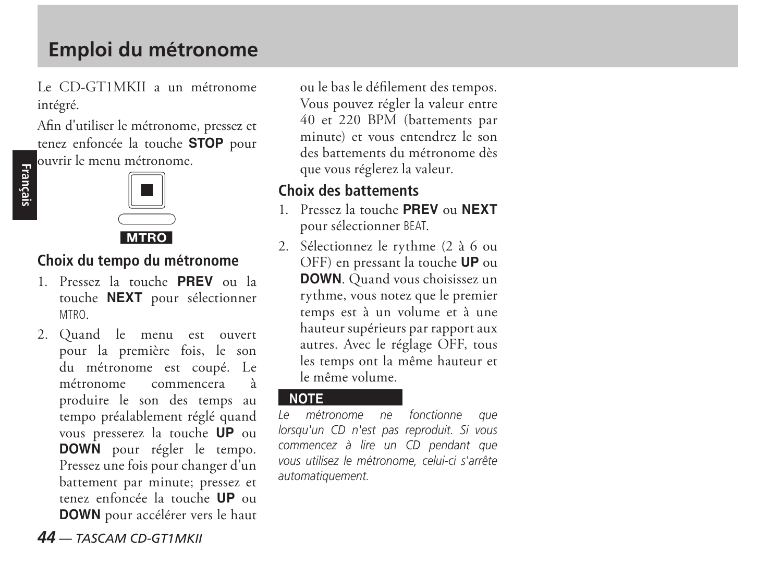### **Emploi du métronome**

Le CD-GT1MKII a un métronome intégré.

Afin d'utiliser le métronome, pressez et tenez enfoncée la touche **STOP** pour ouvrir le menu métronome.



#### **Choix du tempo du métronome**

- 1. Pressez la touche **PREV** ou la touche **NEXT** pour sélectionner MTRO.
- 2. Quand le menu est ouvert pour la première fois, le son du métronome est coupé. Le métronome commencera à produire le son des temps au tempo préalablement réglé quand vous presserez la touche **UP** ou **DOWN** pour régler le tempo. Pressez une fois pour changer d'un battement par minute; pressez et tenez enfoncée la touche **UP** ou **DOWN** pour accélérer vers le haut

ou le bas le défilement des tempos. Vous pouvez régler la valeur entre 40 et 220 BPM (battements par minute) et vous entendrez le son des battements du métronome dès que vous réglerez la valeur.

#### **Choix des battements**

- 1. Pressez la touche **PREV** ou **NEXT** pour sélectionner BEAT.
- 2. Sélectionnez le rythme (2 à 6 ou OFF) en pressant la touche **UP** ou **DOWN**. Quand vous choisissez un rythme, vous notez que le premier temps est à un volume et à une hauteur supérieurs par rapport aux autres. Avec le réglage OFF, tous les temps ont la même hauteur et le même volume.

**NOTE** *Le métronome ne fonctionne que lorsqu'un CD n'est pas reproduit. Si vous commencez à lire un CD pendant que vous utilisez le métronome, celui-ci s'arrête automatiquement.*

#### *44 — TASCAM CD-GT1MKII*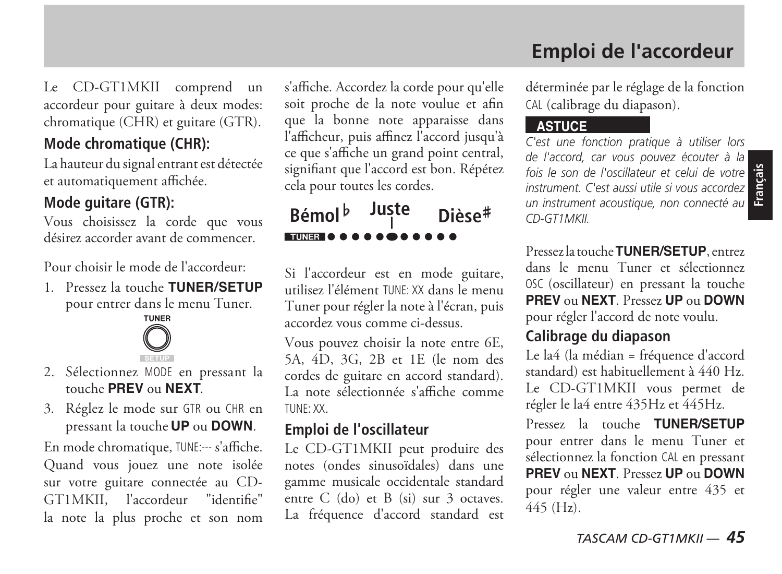### **Emploi de l'accordeur**

Le CD-GT1MKII comprend un accordeur pour guitare à deux modes: chromatique (CHR) et guitare (GTR).

#### **Mode chromatique (CHR):**

La hauteur du signal entrant est détectée et automatiquement affichée.

#### **Mode guitare (GTR):**

Vous choisissez la corde que vous désirez accorder avant de commencer.

Pour choisir le mode de l'accordeur:

1. Pressez la touche **TUNER/SETUP** pour entrer dans le menu Tuner.



- 2. Sélectionnez MODE en pressant la touche **PREV** ou **NEXT**.
- 3. Réglez le mode sur GTR ou CHR en pressant la touche **UP** ou **DOWN**.

En mode chromatique, TUNE:--- s'affiche. Quand vous jouez une note isolée sur votre guitare connectée au CD-GT1MKII, l'accordeur "identifie" la note la plus proche et son nom

s'affiche. Accordez la corde pour qu'elle soit proche de la note voulue et afin que la bonne note apparaisse dans l'afficheur, puis affinez l'accord jusqu'à ce que s'affiche un grand point central, signifiant que l'accord est bon. Répétez cela pour toutes les cordes.

**Bémol**<sup>b</sup> Juste Dièse<sup>#</sup> **TUNER & O** 

Si l'accordeur est en mode guitare, utilisez l'élément TUNE: XX dans le menu Tuner pour régler la note à l'écran, puis accordez vous comme ci-dessus.

Vous pouvez choisir la note entre 6E, 5A, 4D, 3G, 2B et 1E (le nom des cordes de guitare en accord standard). La note sélectionnée s'affiche comme TUNE: XX.

#### **Emploi de l'oscillateur**

Le CD-GT1MKII peut produire des notes (ondes sinusoïdales) dans une gamme musicale occidentale standard entre C (do) et B (si) sur 3 octaves. La fréquence d'accord standard est déterminée par le réglage de la fonction CAL (calibrage du diapason).

#### **ASTUCE**

**Fois le son de l'oscillateur et celui de votre de l'association de l'association de l'association de l'association de l'association de l'association de l'association de l'association de l'association de l'association de l** *C'est une fonction pratique à utiliser lors de l'accord, car vous pouvez écouter à la instrument. C'est aussi utile si vous accordez un instrument acoustique, non connecté au CD-GT1MKII.*

Pressez la touche **TUNER/SETUP**, entrez dans le menu Tuner et sélectionnez OSC (oscillateur) en pressant la touche **PREV** ou **NEXT**. Pressez **UP** ou **DOWN** pour régler l'accord de note voulu.

#### **Calibrage du diapason**

Le la4 (la médian = fréquence d'accord standard) est habituellement à 440 Hz. Le CD-GT1MKII vous permet de régler le la4 entre 435Hz et 445Hz.

Pressez la touche **TUNER/SETUP** pour entrer dans le menu Tuner et sélectionnez la fonction CAL en pressant **PREV** ou **NEXT**. Pressez **UP** ou **DOWN** pour régler une valeur entre 435 et 445 (Hz).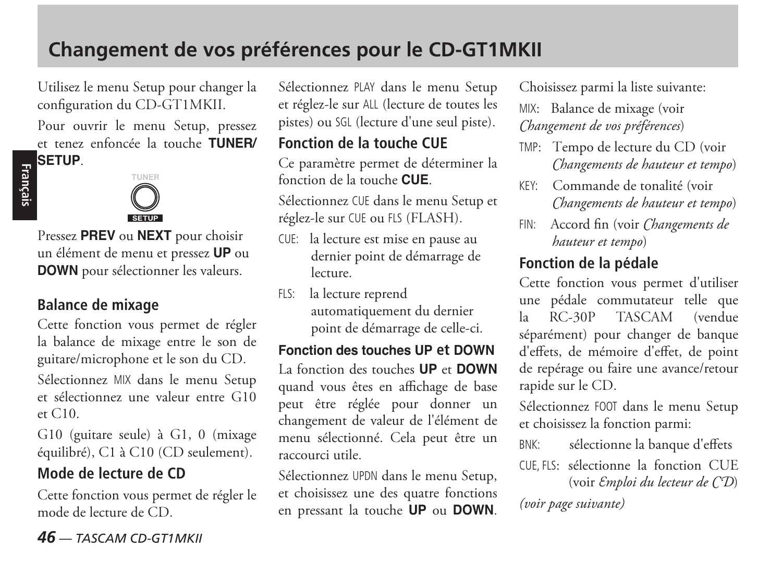Utilisez le menu Setup pour changer la configuration du CD-GT1MKII.

Pour ouvrir le menu Setup, pressez et tenez enfoncée la touche **TUNER/**

### **Français SETUP**.



Pressez **PREV** ou **NEXT** pour choisir un élément de menu et pressez **UP** ou **DOWN** pour sélectionner les valeurs.

#### **Balance de mixage**

Cette fonction vous permet de régler la balance de mixage entre le son de guitare/microphone et le son du CD.

Sélectionnez MIX dans le menu Setup et sélectionnez une valeur entre G10 et C10.

G10 (guitare seule) à G1, 0 (mixage équilibré), C1 à C10 (CD seulement).

#### **Mode de lecture de CD**

Cette fonction vous permet de régler le mode de lecture de CD.

Sélectionnez PLAY dans le menu Setup et réglez-le sur ALL (lecture de toutes les pistes) ou SGL (lecture d'une seul piste).

#### **Fonction de la touche CUE**

Ce paramètre permet de déterminer la fonction de la touche **CUE**.

Sélectionnez CUE dans le menu Setup et réglez-le sur CUE ou FLS (FLASH).

- CUE: la lecture est mise en pause au dernier point de démarrage de lecture.
- FLS: la lecture reprend automatiquement du dernier point de démarrage de celle-ci.

#### **Fonction des touches UP et DOWN**

La fonction des touches **UP** et **DOWN** quand vous êtes en affichage de base peut être réglée pour donner un changement de valeur de l'élément de menu sélectionné. Cela peut être un raccourci utile.

Sélectionnez UPDN dans le menu Setup, et choisissez une des quatre fonctions en pressant la touche **UP** ou **DOWN**.

Choisissez parmi la liste suivante:

MIX: Balance de mixage (voir *Changement de vos préférences*)

- TMP: Tempo de lecture du CD (voir *Changements de hauteur et tempo*)
- KEY: Commande de tonalité (voir *Changements de hauteur et tempo*)
- FIN: Accord fin (voir *Changements de hauteur et tempo*)

#### **Fonction de la pédale**

Cette fonction vous permet d'utiliser une pédale commutateur telle que la RC-30P TASCAM (vendue séparément) pour changer de banque d'effets, de mémoire d'effet, de point de repérage ou faire une avance/retour rapide sur le CD.

Sélectionnez FOOT dans le menu Setup et choisissez la fonction parmi:

BNK: sélectionne la banque d'effets

CUE ELS: sélectionne la fonction CUE (voir *Emploi du lecteur de CD*)

*(voir page suivante)*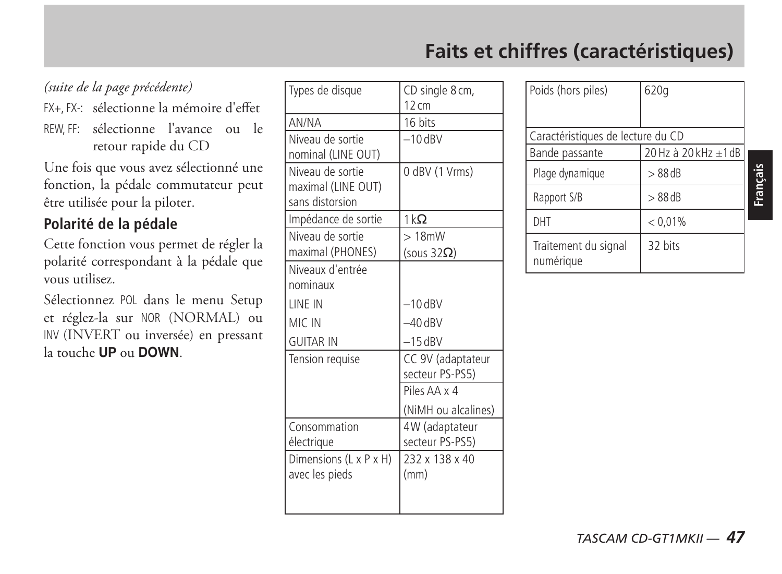### **Faits et chiffres (caractéristiques)**

#### *(suite de la page précédente)*

FX+, FX-: sélectionne la mémoire d'effet

REW, FF: sélectionne l'avance ou le retour rapide du CD

Une fois que vous avez sélectionné une fonction, la pédale commutateur peut être utilisée pour la piloter.

#### **Polarité de la pédale**

Cette fonction vous permet de régler la polarité correspondant à la pédale que vous utilisez.

Sélectionnez POL dans le menu Setup et réglez-la sur NOR (NORMAL) ou INV (INVERT ou inversée) en pressant la touche **UP** ou **DOWN**.

| Types de disque                                           | CD single 8 cm,<br>$12 \text{ cm}$   |
|-----------------------------------------------------------|--------------------------------------|
| AN/NA                                                     | 16 bits                              |
| Niveau de sortie<br>nominal (LINE OUT)                    | $-10$ dRV                            |
| Niveau de sortie<br>maximal (LINE OUT)<br>sans distorsion | 0 dBV (1 Vrms)                       |
| Impédance de sortie                                       | $1 k\Omega$                          |
| Niveau de sortie<br>maximal (PHONES)                      | >18mW<br>(sous $32\Omega$ )          |
| Niveaux d'entrée<br>nominaux                              |                                      |
| LINE IN                                                   | $-10$ dBV                            |
| MIC IN                                                    | $-40$ dBV                            |
| <b>GUITAR IN</b>                                          | $-15$ dBV                            |
| Tension requise                                           | CC 9V (adaptateur<br>secteur PS-PS5) |
|                                                           | Piles AA x 4                         |
|                                                           | (NiMH ou alcalines)                  |
| Consommation<br>électrique                                | 4W (adaptateur<br>secteur PS-PS5)    |
| Dimensions (L x P x H)<br>avec les pieds                  | 232 x 138 x 40<br>(mm)               |

| Poids (hors piles)                | 620g                 |  |
|-----------------------------------|----------------------|--|
|                                   |                      |  |
|                                   |                      |  |
|                                   |                      |  |
| Caractéristiques de lecture du CD |                      |  |
| Bande passante                    | 20 Hz à 20 kHz ±1 dB |  |
| Plage dynamique                   | $> 88$ dB            |  |
| Rapport S/B                       | $>88$ dB             |  |
| DHT                               | < 0.01%              |  |
| Traitement du signal<br>numérique | 32 bits              |  |